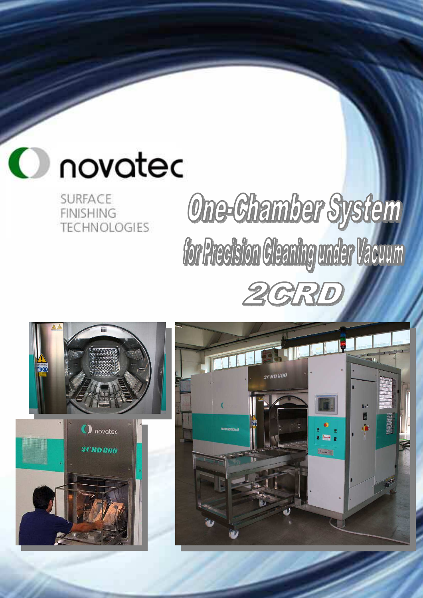

**SURFACE FINISHING TECHNOLOGIES** 

## One-Chamber System for Precision Cleaning under Vacuum 2GRI



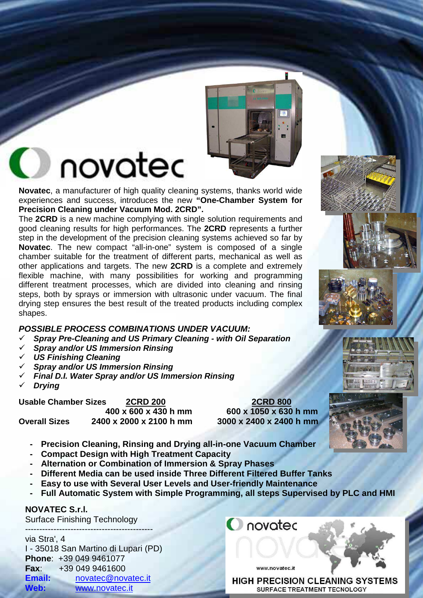

### novatec

**Novatec**, a manufacturer of high quality cleaning systems, thanks world wide experiences and success, introduces the new **"One-Chamber System for Precision Cleaning under Vacuum Mod. 2CRD".**

The **2CRD** is a new machine complying with single solution requirements and good cleaning results for high performances. The **2CRD** represents a further step in the development of the precision cleaning systems achieved so far by **Novatec**. The new compact "all-in-one" system is composed of a single chamber suitable for the treatment of different parts, mechanical as well as other applications and targets. The new **2CRD** is a complete and extremely flexible machine, with many possibilities for working and programming different treatment processes, which are divided into cleaning and rinsing steps, both by sprays or immersion with ultrasonic under vacuum. The final drying step ensures the best result of the treated products including complex shapes.

#### **POSSIBLE PROCESS COMBINATIONS UNDER VACUUM:**

- **Spray Pre-Cleaning and US Primary Cleaning with Oil Separation**
- **Spray and/or US Immersion Rinsing**
- **US Finishing Cleaning**
- **Spray and/or US Immersion Rinsing**
- **Final D.I. Water Spray and/or US Immersion Rinsing**
- **Drying**

Usable Chamber Sizes **2CRD 200**<br>400 x 600 x 430 h mm 600 x 1050 x 630 h mm  **400 x 600 x 430 h mm 600 x 1050 x 630 h mm Overall Sizes 2400 x 2000 x 2100 h mm 3000 x 2400 x 2400 h mm**

- **Precision Cleaning, Rinsing and Drying all-in-one Vacuum Chamber**
- **Compact Design with High Treatment Capacity**
- **Alternation or Combination of Immersion & Spray Phases**
- **Different Media can be used inside Three Different Filtered Buffer Tanks**
- **Easy to use with Several User Levels and User-friendly Maintenance**
- **Full Automatic System with Simple Programming, all steps Supervised by PLC and HMI**

#### **NOVATEC S.r.l.**

Surface Finishing Technology

#### -------------------------------------------- via Stra', 4

I - 35018 San Martino di Lupari (PD) **Phone**: +39 049 9461077 **Fax**: +39 049 9461600 **Email:** novatec@novatec.it **Web:** www.novatec.it

www.novatec.it

**C** novated

**HIGH PRECISION CLEANING SYSTEMS SURFACE TREATMENT TECNOLOGY** 

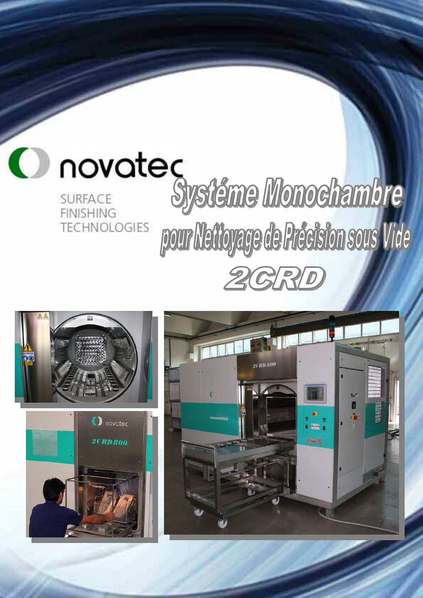





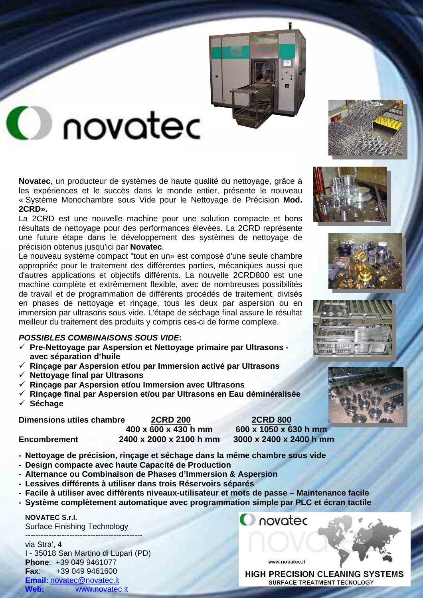

## **O** novated

**Novatec**, un producteur de systèmes de haute qualité du nettoyage, grâce à les expériences et le succès dans le monde entier, présente le nouveau « Système Monochambre sous Vide pour le Nettoyage de Précision **Mod. 2CRD».** 

La 2CRD est une nouvelle machine pour une solution compacte et bons résultats de nettoyage pour des performances élevées. La 2CRD représente une future étape dans le développement des systèmes de nettoyage de précision obtenus jusqu'ici par **Novatec**.

Le nouveau système compact "tout en un» est composé d'une seule chambre appropriée pour le traitement des différentes parties, mécaniques aussi que d'autres applications et objectifs différents. La nouvelle 2CRD800 est une machine complète et extrêmement flexible, avec de nombreuses possibilités de travail et de programmation de différents procédés de traitement, divisés en phases de nettoyage et rinçage, tous les deux par aspersion ou en immersion par ultrasons sous vide. L'étape de séchage final assure le résultat meilleur du traitement des produits y compris ces-ci de forme complexe.

#### **POSSIBLES COMBINAISONS SOUS VIDE:**

- **Pre-Nettoyage par Aspersion et Nettoyage primaire par Ultrasons avec séparation d'huile**
- **Rinçage par Aspersion et/ou par Immersion activé par Ultrasons**
- **Nettoyage final par Ultrasons**
- **Rinçage par Aspersion et/ou Immersion avec Ultrasons**
- **Rinçage final par Aspersion et/ou par Ultrasons en Eau déminéralisée**
- **Séchage**

**Dimensions utiles chambre 2CRD 200 2CRD 800 400 x 600 x 430 h mm 600 x 1050 x 630 h mm Encombrement 2400 x 2000 x 2100 h mm 3000 x 2400 x 2400 h mm**

- **Nettoyage de précision, rinçage et séchage dans la même chambre sous vide**
- **Design compacte avec haute Capacité de Production**
- **Alternance ou Combinaison de Phases d'Immersion & Aspersion**
- **Lessives différents à utiliser dans trois Réservoirs séparés**
- **Facile à utiliser avec différents niveaux-utilisateur et mots de passe Maintenance facile**
- **Système complètement automatique avec programmation simple par PLC et écran tactile**

#### **NOVATEC S.r.l.**

Surface Finishing Technology

-------------------------------------------- via Stra', 4 I - 35018 San Martino di Lupari (PD) **Phone**: +39 049 9461077 **Fax**: +39 049 9461600 **Email:** novatec@novatec.it **Web:** www.novatec.it

www.novatec.it

novated









**HIGH PRECISION CLEANING SYSTEMS** SURFACE TREATMENT TECNOLOGY

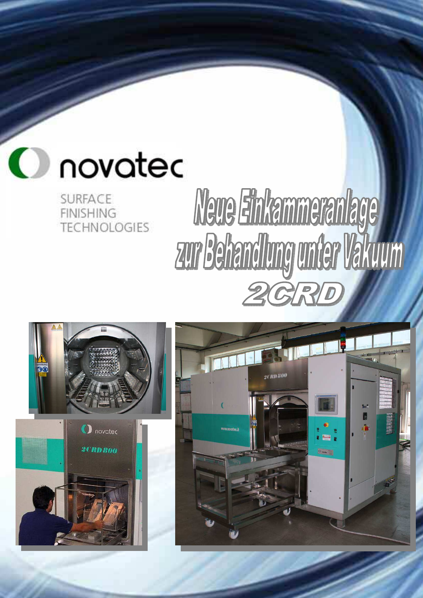

**SURFACE FINISHING TECHNOLOGIES** 

# Neue Einkammeranlage zur Behandlung under Vakuum  $2077$